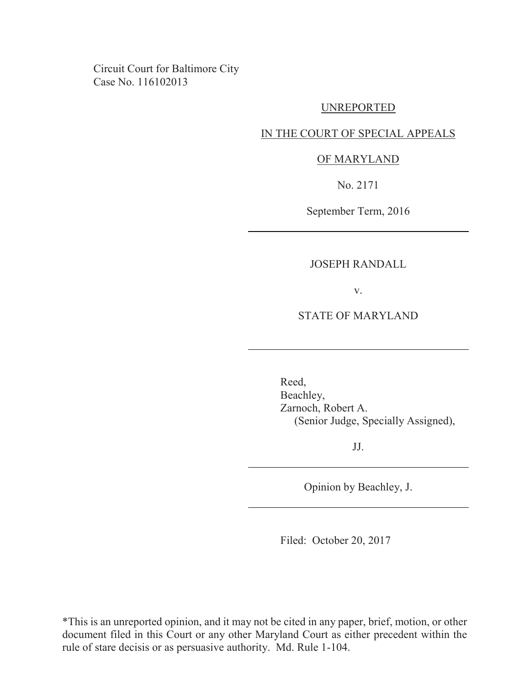Circuit Court for Baltimore City Case No. 116102013

#### UNREPORTED

#### IN THE COURT OF SPECIAL APPEALS

#### OF MARYLAND

No. 2171

September Term, 2016

#### JOSEPH RANDALL

v.

## STATE OF MARYLAND

Reed, Beachley, Zarnoch, Robert A. (Senior Judge, Specially Assigned),

JJ.

Opinion by Beachley, J.

Filed: October 20, 2017

\*This is an unreported opinion, and it may not be cited in any paper, brief, motion, or other document filed in this Court or any other Maryland Court as either precedent within the rule of stare decisis or as persuasive authority. Md. Rule 1-104.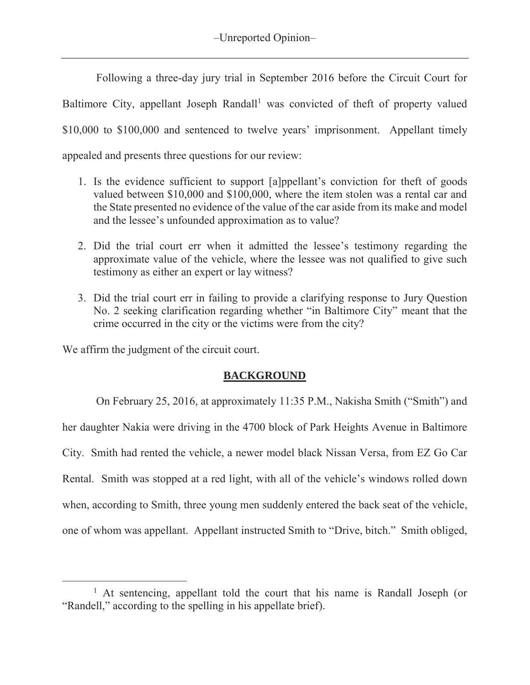Following a three-day jury trial in September 2016 before the Circuit Court for Baltimore City, appellant Joseph Randall<sup>1</sup> was convicted of theft of property valued \$10,000 to \$100,000 and sentenced to twelve years' imprisonment. Appellant timely appealed and presents three questions for our review:

- 1. Is the evidence sufficient to support [a]ppellant's conviction for theft of goods valued between \$10,000 and \$100,000, where the item stolen was a rental car and the State presented no evidence of the value of the car aside from its make and model and the lessee's unfounded approximation as to value?
- 2. Did the trial court err when it admitted the lessee's testimony regarding the approximate value of the vehicle, where the lessee was not qualified to give such testimony as either an expert or lay witness?
- 3. Did the trial court err in failing to provide a clarifying response to Jury Question No. 2 seeking clarification regarding whether "in Baltimore City" meant that the crime occurred in the city or the victims were from the city?

We affirm the judgment of the circuit court.

 $\overline{a}$ 

## **BACKGROUND**

 On February 25, 2016, at approximately 11:35 P.M., Nakisha Smith ("Smith") and her daughter Nakia were driving in the 4700 block of Park Heights Avenue in Baltimore City. Smith had rented the vehicle, a newer model black Nissan Versa, from EZ Go Car Rental. Smith was stopped at a red light, with all of the vehicle's windows rolled down when, according to Smith, three young men suddenly entered the back seat of the vehicle, one of whom was appellant. Appellant instructed Smith to "Drive, bitch." Smith obliged,

<sup>&</sup>lt;sup>1</sup> At sentencing, appellant told the court that his name is Randall Joseph (or "Randell," according to the spelling in his appellate brief).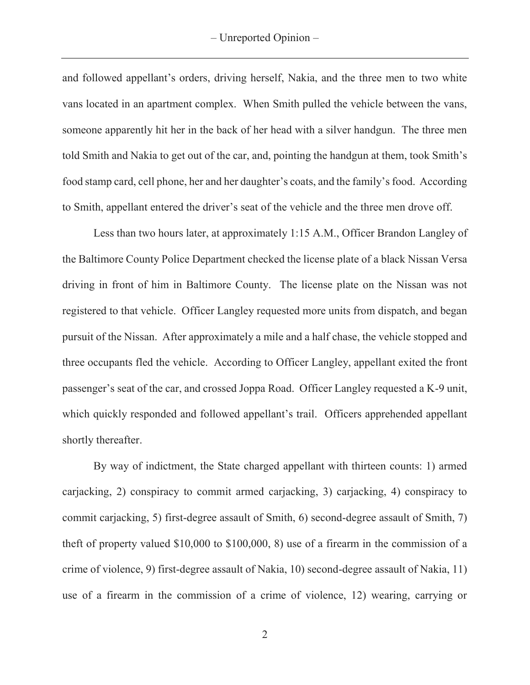and followed appellant's orders, driving herself, Nakia, and the three men to two white vans located in an apartment complex. When Smith pulled the vehicle between the vans, someone apparently hit her in the back of her head with a silver handgun. The three men told Smith and Nakia to get out of the car, and, pointing the handgun at them, took Smith's food stamp card, cell phone, her and her daughter's coats, and the family's food. According to Smith, appellant entered the driver's seat of the vehicle and the three men drove off.

 Less than two hours later, at approximately 1:15 A.M., Officer Brandon Langley of the Baltimore County Police Department checked the license plate of a black Nissan Versa driving in front of him in Baltimore County. The license plate on the Nissan was not registered to that vehicle. Officer Langley requested more units from dispatch, and began pursuit of the Nissan. After approximately a mile and a half chase, the vehicle stopped and three occupants fled the vehicle. According to Officer Langley, appellant exited the front passenger's seat of the car, and crossed Joppa Road. Officer Langley requested a K-9 unit, which quickly responded and followed appellant's trail. Officers apprehended appellant shortly thereafter.

 By way of indictment, the State charged appellant with thirteen counts: 1) armed carjacking, 2) conspiracy to commit armed carjacking, 3) carjacking, 4) conspiracy to commit carjacking, 5) first-degree assault of Smith, 6) second-degree assault of Smith, 7) theft of property valued \$10,000 to \$100,000, 8) use of a firearm in the commission of a crime of violence, 9) first-degree assault of Nakia, 10) second-degree assault of Nakia, 11) use of a firearm in the commission of a crime of violence, 12) wearing, carrying or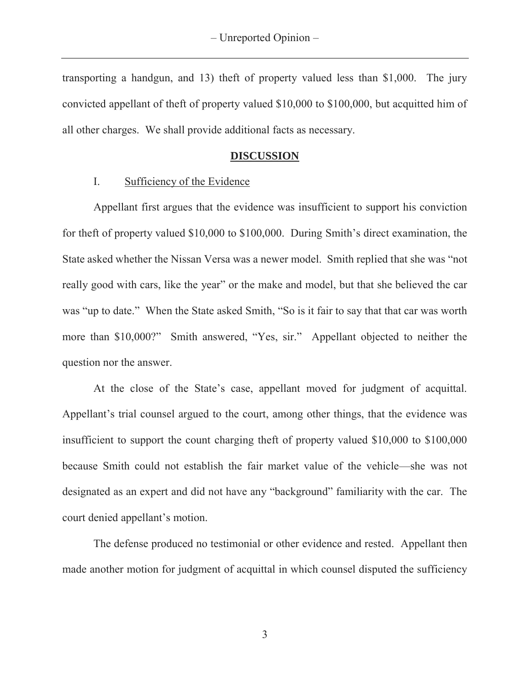transporting a handgun, and 13) theft of property valued less than \$1,000. The jury convicted appellant of theft of property valued \$10,000 to \$100,000, but acquitted him of all other charges. We shall provide additional facts as necessary.

## **DISCUSSION**

## I. Sufficiency of the Evidence

Appellant first argues that the evidence was insufficient to support his conviction for theft of property valued \$10,000 to \$100,000. During Smith's direct examination, the State asked whether the Nissan Versa was a newer model. Smith replied that she was "not really good with cars, like the year" or the make and model, but that she believed the car was "up to date." When the State asked Smith, "So is it fair to say that that car was worth more than \$10,000?" Smith answered, "Yes, sir." Appellant objected to neither the question nor the answer.

At the close of the State's case, appellant moved for judgment of acquittal. Appellant's trial counsel argued to the court, among other things, that the evidence was insufficient to support the count charging theft of property valued \$10,000 to \$100,000 because Smith could not establish the fair market value of the vehicle—she was not designated as an expert and did not have any "background" familiarity with the car. The court denied appellant's motion.

The defense produced no testimonial or other evidence and rested. Appellant then made another motion for judgment of acquittal in which counsel disputed the sufficiency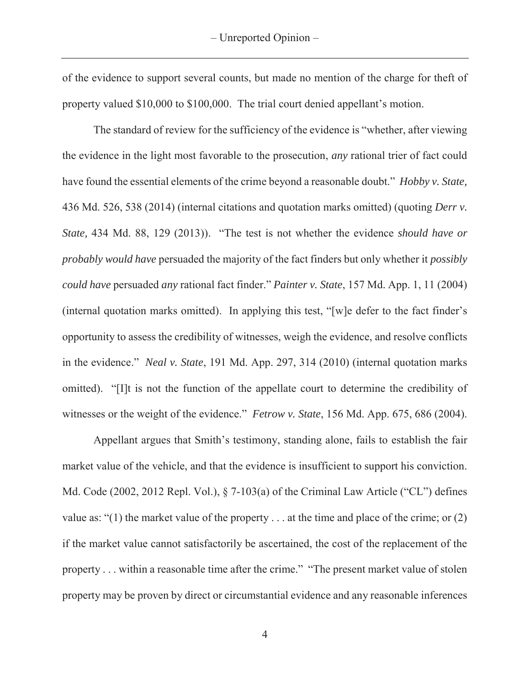of the evidence to support several counts, but made no mention of the charge for theft of property valued \$10,000 to \$100,000. The trial court denied appellant's motion.

The standard of review for the sufficiency of the evidence is "whether, after viewing the evidence in the light most favorable to the prosecution, *any* rational trier of fact could have found the essential elements of the crime beyond a reasonable doubt." *Hobby v. State,* 436 Md. 526, 538 (2014) (internal citations and quotation marks omitted) (quoting *Derr v. State,* 434 Md. 88, 129 (2013)). "The test is not whether the evidence *should have or probably would have* persuaded the majority of the fact finders but only whether it *possibly could have* persuaded *any* rational fact finder." *Painter v. State*, 157 Md. App. 1, 11 (2004) (internal quotation marks omitted). In applying this test, "[w]e defer to the fact finder's opportunity to assess the credibility of witnesses, weigh the evidence, and resolve conflicts in the evidence." *Neal v. State*, 191 Md. App. 297, 314 (2010) (internal quotation marks omitted). "[I]t is not the function of the appellate court to determine the credibility of witnesses or the weight of the evidence." *Fetrow v. State*, 156 Md. App. 675, 686 (2004).

Appellant argues that Smith's testimony, standing alone, fails to establish the fair market value of the vehicle, and that the evidence is insufficient to support his conviction. Md. Code (2002, 2012 Repl. Vol.), § 7-103(a) of the Criminal Law Article ("CL") defines value as: "(1) the market value of the property . . . at the time and place of the crime; or (2) if the market value cannot satisfactorily be ascertained, the cost of the replacement of the property . . . within a reasonable time after the crime." "The present market value of stolen property may be proven by direct or circumstantial evidence and any reasonable inferences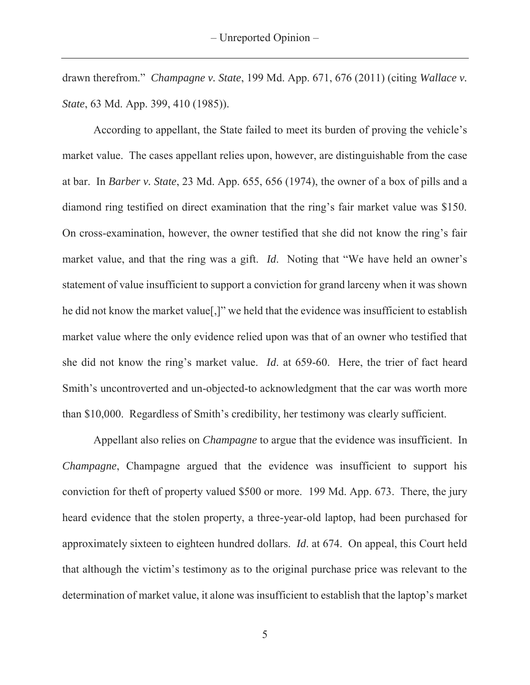drawn therefrom." *Champagne v. State*, 199 Md. App. 671, 676 (2011) (citing *Wallace v. State*, 63 Md. App. 399, 410 (1985)).

According to appellant, the State failed to meet its burden of proving the vehicle's market value. The cases appellant relies upon, however, are distinguishable from the case at bar. In *Barber v. State*, 23 Md. App. 655, 656 (1974), the owner of a box of pills and a diamond ring testified on direct examination that the ring's fair market value was \$150. On cross-examination, however, the owner testified that she did not know the ring's fair market value, and that the ring was a gift. *Id*. Noting that "We have held an owner's statement of value insufficient to support a conviction for grand larceny when it was shown he did not know the market value[,]" we held that the evidence was insufficient to establish market value where the only evidence relied upon was that of an owner who testified that she did not know the ring's market value. *Id*. at 659-60. Here, the trier of fact heard Smith's uncontroverted and un-objected-to acknowledgment that the car was worth more than \$10,000. Regardless of Smith's credibility, her testimony was clearly sufficient.

Appellant also relies on *Champagne* to argue that the evidence was insufficient. In *Champagne*, Champagne argued that the evidence was insufficient to support his conviction for theft of property valued \$500 or more. 199 Md. App. 673. There, the jury heard evidence that the stolen property, a three-year-old laptop, had been purchased for approximately sixteen to eighteen hundred dollars. *Id*. at 674. On appeal, this Court held that although the victim's testimony as to the original purchase price was relevant to the determination of market value, it alone was insufficient to establish that the laptop's market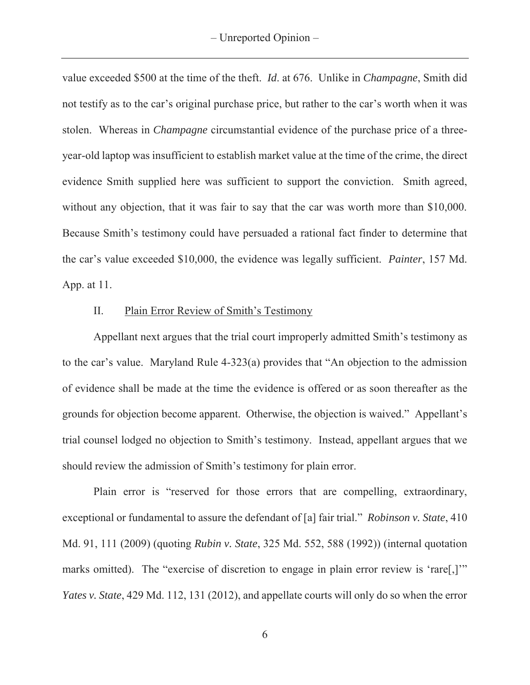value exceeded \$500 at the time of the theft. *Id*. at 676. Unlike in *Champagne*, Smith did not testify as to the car's original purchase price, but rather to the car's worth when it was stolen. Whereas in *Champagne* circumstantial evidence of the purchase price of a threeyear-old laptop was insufficient to establish market value at the time of the crime, the direct evidence Smith supplied here was sufficient to support the conviction. Smith agreed, without any objection, that it was fair to say that the car was worth more than \$10,000. Because Smith's testimony could have persuaded a rational fact finder to determine that the car's value exceeded \$10,000, the evidence was legally sufficient. *Painter*, 157 Md. App. at 11.

# II. Plain Error Review of Smith's Testimony

Appellant next argues that the trial court improperly admitted Smith's testimony as to the car's value. Maryland Rule 4-323(a) provides that "An objection to the admission of evidence shall be made at the time the evidence is offered or as soon thereafter as the grounds for objection become apparent. Otherwise, the objection is waived." Appellant's trial counsel lodged no objection to Smith's testimony. Instead, appellant argues that we should review the admission of Smith's testimony for plain error.

 Plain error is "reserved for those errors that are compelling, extraordinary, exceptional or fundamental to assure the defendant of [a] fair trial." *Robinson v. State*, 410 Md. 91, 111 (2009) (quoting *Rubin v. State*, 325 Md. 552, 588 (1992)) (internal quotation marks omitted). The "exercise of discretion to engage in plain error review is 'rare..." *Yates v. State*, 429 Md. 112, 131 (2012), and appellate courts will only do so when the error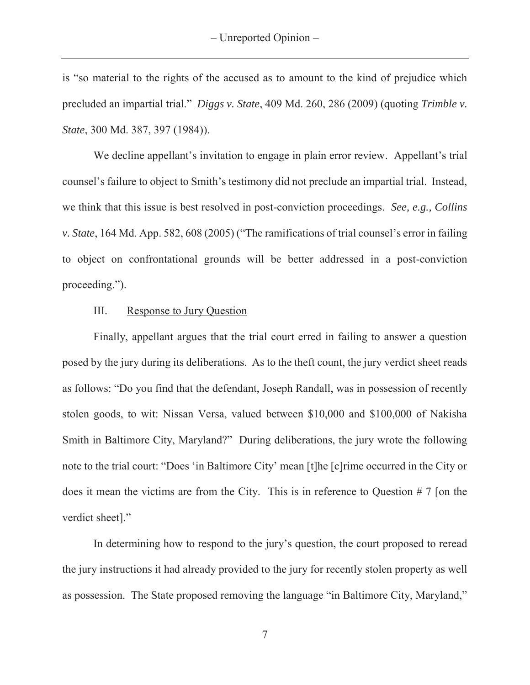is "so material to the rights of the accused as to amount to the kind of prejudice which precluded an impartial trial." *Diggs v. State*, 409 Md. 260, 286 (2009) (quoting *Trimble v. State*, 300 Md. 387, 397 (1984)).

 We decline appellant's invitation to engage in plain error review. Appellant's trial counsel's failure to object to Smith's testimony did not preclude an impartial trial. Instead, we think that this issue is best resolved in post-conviction proceedings. *See, e.g., Collins v. State*, 164 Md. App. 582, 608 (2005) ("The ramifications of trial counsel's error in failing to object on confrontational grounds will be better addressed in a post-conviction proceeding.").

## III. Response to Jury Question

Finally, appellant argues that the trial court erred in failing to answer a question posed by the jury during its deliberations. As to the theft count, the jury verdict sheet reads as follows: "Do you find that the defendant, Joseph Randall, was in possession of recently stolen goods, to wit: Nissan Versa, valued between \$10,000 and \$100,000 of Nakisha Smith in Baltimore City, Maryland?" During deliberations, the jury wrote the following note to the trial court: "Does 'in Baltimore City' mean [t]he [c]rime occurred in the City or does it mean the victims are from the City. This is in reference to Question # 7 [on the verdict sheet]."

In determining how to respond to the jury's question, the court proposed to reread the jury instructions it had already provided to the jury for recently stolen property as well as possession. The State proposed removing the language "in Baltimore City, Maryland,"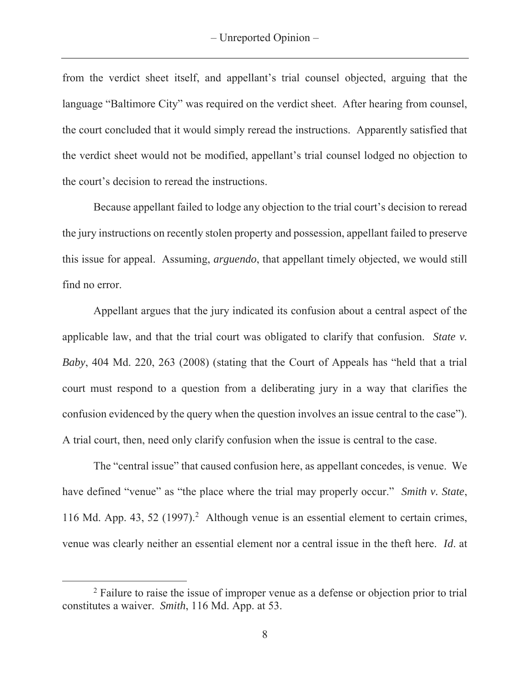from the verdict sheet itself, and appellant's trial counsel objected, arguing that the language "Baltimore City" was required on the verdict sheet. After hearing from counsel, the court concluded that it would simply reread the instructions. Apparently satisfied that the verdict sheet would not be modified, appellant's trial counsel lodged no objection to the court's decision to reread the instructions.

Because appellant failed to lodge any objection to the trial court's decision to reread the jury instructions on recently stolen property and possession, appellant failed to preserve this issue for appeal. Assuming, *arguendo*, that appellant timely objected, we would still find no error.

Appellant argues that the jury indicated its confusion about a central aspect of the applicable law, and that the trial court was obligated to clarify that confusion. *State v. Baby*, 404 Md. 220, 263 (2008) (stating that the Court of Appeals has "held that a trial court must respond to a question from a deliberating jury in a way that clarifies the confusion evidenced by the query when the question involves an issue central to the case"). A trial court, then, need only clarify confusion when the issue is central to the case.

The "central issue" that caused confusion here, as appellant concedes, is venue. We have defined "venue" as "the place where the trial may properly occur." *Smith v. State*, 116 Md. App. 43, 52 (1997).<sup>2</sup> Although venue is an essential element to certain crimes, venue was clearly neither an essential element nor a central issue in the theft here. *Id*. at

 $\overline{a}$ 

<sup>&</sup>lt;sup>2</sup> Failure to raise the issue of improper venue as a defense or objection prior to trial constitutes a waiver. *Smith*, 116 Md. App. at 53.